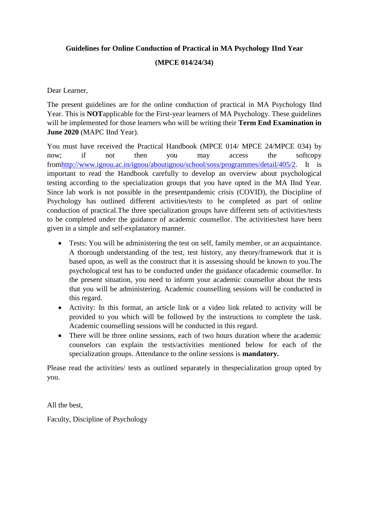# **Guidelines for Online Conduction of Practical in MA Psychology IInd Year (MPCE 014/24/34)**

Dear Learner,

The present guidelines are for the online conduction of practical in MA Psychology IInd Year. This is **NOT**applicable for the First-year learners of MA Psychology. These guidelines will be implemented for those learners who will be writing their **Term End Examination in June 2020** (MAPC IInd Year).

You must have received the Practical Handbook (MPCE 014/ MPCE 24/MPCE 034) by now; if not then you may access the softcopy fro[mhttp://www.ignou.ac.in/ignou/aboutignou/school/soss/programmes/detail/405/2.](http://www.ignou.ac.in/ignou/aboutignou/school/soss/programmes/detail/405/2) It is important to read the Handbook carefully to develop an overview about psychological testing according to the specialization groups that you have opted in the MA IInd Year. Since lab work is not possible in the presentpandemic crisis (COVID), the Discipline of Psychology has outlined different activities/tests to be completed as part of online conduction of practical.The three specialization groups have different sets of activities/tests to be completed under the guidance of academic counsellor. The activities/test have been given in a simple and self-explanatory manner.

- Tests: You will be administering the test on self, family member, or an acquaintance. A thorough understanding of the test, test history, any theory/framework that it is based upon, as well as the construct that it is assessing should be known to you.The psychological test has to be conducted under the guidance ofacademic counsellor. In the present situation, you need to inform your academic counsellor about the tests that you will be administering. Academic counselling sessions will be conducted in this regard.
- Activity: In this format, an article link or a video link related to activity will be provided to you which will be followed by the instructions to complete the task. Academic counselling sessions will be conducted in this regard.
- There will be three online sessions, each of two hours duration where the academic counselors can explain the tests/activities mentioned below for each of the specialization groups. Attendance to the online sessions is **mandatory.**

Please read the activities/ tests as outlined separately in thespecialization group opted by you.

All the best,

Faculty, Discipline of Psychology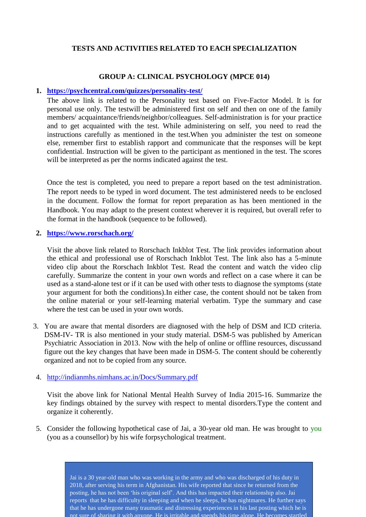## **TESTS AND ACTIVITIES RELATED TO EACH SPECIALIZATION**

## **GROUP A: CLINICAL PSYCHOLOGY (MPCE 014)**

#### **1. <https://psychcentral.com/quizzes/personality-test/>**

The above link is related to the Personality test based on Five-Factor Model. It is for personal use only. The testwill be administered first on self and then on one of the family members/ acquaintance/friends/neighbor/colleagues. Self-administration is for your practice and to get acquainted with the test. While administering on self, you need to read the instructions carefully as mentioned in the test.When you administer the test on someone else, remember first to establish rapport and communicate that the responses will be kept confidential. Instruction will be given to the participant as mentioned in the test. The scores will be interpreted as per the norms indicated against the test.

Once the test is completed, you need to prepare a report based on the test administration. The report needs to be typed in word document. The test administered needs to be enclosed in the document. Follow the format for report preparation as has been mentioned in the Handbook. You may adapt to the present context wherever it is required, but overall refer to the format in the handbook (sequence to be followed).

#### **2. <https://www.rorschach.org/>**

Visit the above link related to Rorschach Inkblot Test. The link provides information about the ethical and professional use of Rorschach Inkblot Test. The link also has a 5-minute video clip about the Rorschach Inkblot Test. Read the content and watch the video clip carefully. Summarize the content in your own words and reflect on a case where it can be used as a stand-alone test or if it can be used with other tests to diagnose the symptoms (state your argument for both the conditions).In either case, the content should not be taken from the online material or your self-learning material verbatim. Type the summary and case where the test can be used in your own words.

3. You are aware that mental disorders are diagnosed with the help of DSM and ICD criteria. DSM-IV- TR is also mentioned in your study material. DSM-5 was published by American Psychiatric Association in 2013. Now with the help of online or offline resources, discussand figure out the key changes that have been made in DSM-5. The content should be coherently organized and not to be copied from any source.

#### 4. <http://indianmhs.nimhans.ac.in/Docs/Summary.pdf>

Visit the above link for National Mental Health Survey of India 2015-16. Summarize the key findings obtained by the survey with respect to mental disorders.Type the content and organize it coherently.

5. Consider the following hypothetical case of Jai, a 30-year old man. He was brought to you (you as a counsellor) by his wife forpsychological treatment.

> Jai is a 30 year-old man who was working in the army and who was discharged of his duty in 2018, after serving his term in Afghanistan. His wife reported that since he returned from the posting, he has not been 'his original self'. And this has impacted their relationship also. Jai reports that he has difficulty in sleeping and when he sleeps, he has nightmares. He further says that he has undergone many traumatic and distressing experiences in his last posting which he is not sure of sharing it with anyone. He is irritable and spends his time alone. He becomes startled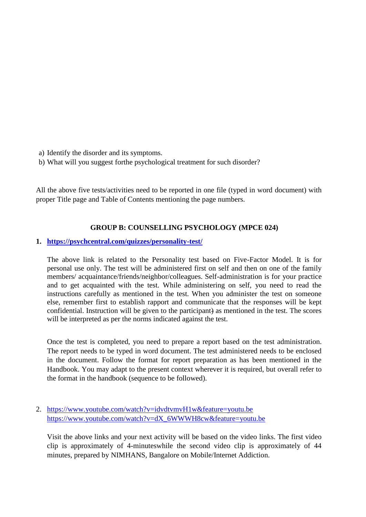- a) Identify the disorder and its symptoms.
- b) What will you suggest forthe psychological treatment for such disorder?

All the above five tests/activities need to be reported in one file (typed in word document) with proper Title page and Table of Contents mentioning the page numbers.

## **GROUP B: COUNSELLING PSYCHOLOGY (MPCE 024)**

#### **1. <https://psychcentral.com/quizzes/personality-test/>**

The above link is related to the Personality test based on Five-Factor Model. It is for personal use only. The test will be administered first on self and then on one of the family members/ acquaintance/friends/neighbor/colleagues. Self-administration is for your practice and to get acquainted with the test. While administering on self, you need to read the instructions carefully as mentioned in the test. When you administer the test on someone else, remember first to establish rapport and communicate that the responses will be kept confidential. Instruction will be given to the participant) as mentioned in the test. The scores will be interpreted as per the norms indicated against the test.

Once the test is completed, you need to prepare a report based on the test administration. The report needs to be typed in word document. The test administered needs to be enclosed in the document. Follow the format for report preparation as has been mentioned in the Handbook. You may adapt to the present context wherever it is required, but overall refer to the format in the handbook (sequence to be followed).

2. <https://www.youtube.com/watch?v=idvdtvmvH1w&feature=youtu.be> [https://www.youtube.com/watch?v=dX\\_6WWWH8cw&feature=youtu.be](https://www.youtube.com/watch?v=dX_6WWWH8cw&feature=youtu.be)

Visit the above links and your next activity will be based on the video links. The first video clip is approximately of 4-minuteswhile the second video clip is approximately of 44 minutes, prepared by NIMHANS, Bangalore on Mobile/Internet Addiction.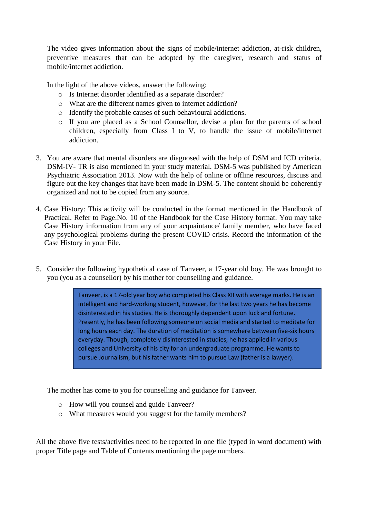The video gives information about the signs of mobile/internet addiction, at-risk children, preventive measures that can be adopted by the caregiver, research and status of mobile/internet addiction.

In the light of the above videos, answer the following:

- o Is Internet disorder identified as a separate disorder?
- o What are the different names given to internet addiction?
- o Identify the probable causes of such behavioural addictions.
- o If you are placed as a School Counsellor, devise a plan for the parents of school children, especially from Class I to V, to handle the issue of mobile/internet addiction.
- 3. You are aware that mental disorders are diagnosed with the help of DSM and ICD criteria. DSM-IV- TR is also mentioned in your study material. DSM-5 was published by American Psychiatric Association 2013. Now with the help of online or offline resources, discuss and figure out the key changes that have been made in DSM-5. The content should be coherently organized and not to be copied from any source.
- 4. Case History: This activity will be conducted in the format mentioned in the Handbook of Practical. Refer to Page.No. 10 of the Handbook for the Case History format. You may take Case History information from any of your acquaintance/ family member, who have faced any psychological problems during the present COVID crisis. Record the information of the Case History in your File.
- 5. Consider the following hypothetical case of Tanveer, a 17-year old boy. He was brought to you (you as a counsellor) by his mother for counselling and guidance.

Tanveer, is a 17-old year boy who completed his Class XII with average marks. He is an intelligent and hard-working student, however, for the last two years he has become disinterested in his studies. He is thoroughly dependent upon luck and fortune. Presently, he has been following someone on social media and started to meditate for long hours each day. The duration of meditation is somewhere between five-six hours everyday. Though, completely disinterested in studies, he has applied in various colleges and University of his city for an undergraduate programme. He wants to pursue Journalism, but his father wants him to pursue Law (father is a lawyer).

The mother has come to you for counselling and guidance for Tanveer.

- o How will you counsel and guide Tanveer?
- o What measures would you suggest for the family members?

All the above five tests/activities need to be reported in one file (typed in word document) with proper Title page and Table of Contents mentioning the page numbers.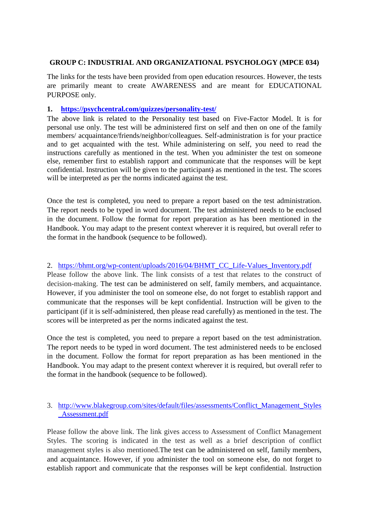## **GROUP C: INDUSTRIAL AND ORGANIZATIONAL PSYCHOLOGY (MPCE 034)**

The links for the tests have been provided from open education resources. However, the tests are primarily meant to create AWARENESS and are meant for EDUCATIONAL PURPOSE only.

### **1. <https://psychcentral.com/quizzes/personality-test/>**

The above link is related to the Personality test based on Five-Factor Model. It is for personal use only. The test will be administered first on self and then on one of the family members/ acquaintance/friends/neighbor/colleagues. Self-administration is for your practice and to get acquainted with the test. While administering on self, you need to read the instructions carefully as mentioned in the test. When you administer the test on someone else, remember first to establish rapport and communicate that the responses will be kept confidential. Instruction will be given to the participant) as mentioned in the test. The scores will be interpreted as per the norms indicated against the test.

Once the test is completed, you need to prepare a report based on the test administration. The report needs to be typed in word document. The test administered needs to be enclosed in the document. Follow the format for report preparation as has been mentioned in the Handbook. You may adapt to the present context wherever it is required, but overall refer to the format in the handbook (sequence to be followed).

## 2. [https://bhmt.org/wp-content/uploads/2016/04/BHMT\\_CC\\_Life-Values\\_Inventory.pdf](https://bhmt.org/wp-content/uploads/2016/04/BHMT_CC_Life-Values_Inventory.pdf)

Please follow the above link. The link consists of a test that relates to the construct of decision-making. The test can be administered on self, family members, and acquaintance. However, if you administer the tool on someone else, do not forget to establish rapport and communicate that the responses will be kept confidential. Instruction will be given to the participant (if it is self-administered, then please read carefully) as mentioned in the test. The scores will be interpreted as per the norms indicated against the test.

Once the test is completed, you need to prepare a report based on the test administration. The report needs to be typed in word document. The test administered needs to be enclosed in the document. Follow the format for report preparation as has been mentioned in the Handbook. You may adapt to the present context wherever it is required, but overall refer to the format in the handbook (sequence to be followed).

## 3. [http://www.blakegroup.com/sites/default/files/assessments/Conflict\\_Management\\_Styles](http://www.blakegroup.com/sites/default/files/assessments/Conflict_Management_Styles_Assessment.pdf) [\\_Assessment.pdf](http://www.blakegroup.com/sites/default/files/assessments/Conflict_Management_Styles_Assessment.pdf)

Please follow the above link. The link gives access to Assessment of Conflict Management Styles. The scoring is indicated in the test as well as a brief description of conflict management styles is also mentioned.The test can be administered on self, family members, and acquaintance. However, if you administer the tool on someone else, do not forget to establish rapport and communicate that the responses will be kept confidential. Instruction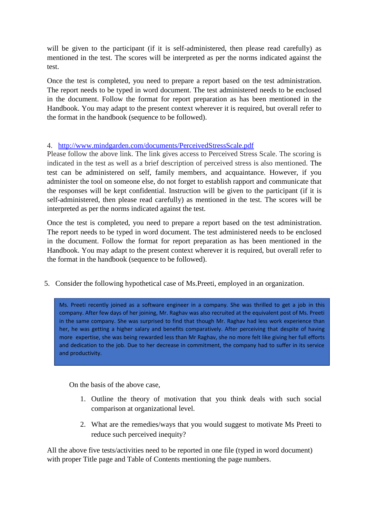will be given to the participant (if it is self-administered, then please read carefully) as mentioned in the test. The scores will be interpreted as per the norms indicated against the test.

Once the test is completed, you need to prepare a report based on the test administration. The report needs to be typed in word document. The test administered needs to be enclosed in the document. Follow the format for report preparation as has been mentioned in the Handbook. You may adapt to the present context wherever it is required, but overall refer to the format in the handbook (sequence to be followed).

## 4. <http://www.mindgarden.com/documents/PerceivedStressScale.pdf>

Please follow the above link. The link gives access to Perceived Stress Scale. The scoring is indicated in the test as well as a brief description of perceived stress is also mentioned. The test can be administered on self, family members, and acquaintance. However, if you administer the tool on someone else, do not forget to establish rapport and communicate that the responses will be kept confidential. Instruction will be given to the participant (if it is self-administered, then please read carefully) as mentioned in the test. The scores will be interpreted as per the norms indicated against the test.

Once the test is completed, you need to prepare a report based on the test administration. The report needs to be typed in word document. The test administered needs to be enclosed in the document. Follow the format for report preparation as has been mentioned in the Handbook. You may adapt to the present context wherever it is required, but overall refer to the format in the handbook (sequence to be followed).

5. Consider the following hypothetical case of Ms.Preeti, employed in an organization.

. Ms. Preeti recently joined as a software engineer in a company. She was thrilled to get a job in this company. After few days of her joining, Mr. Raghav was also recruited at the equivalent post of Ms. Preeti in the same company. She was surprised to find that though Mr. Raghav had less work experience than her, he was getting a higher salary and benefits comparatively. After perceiving that despite of having more expertise, she was being rewarded less than Mr Raghav, she no more felt like giving her full efforts and dedication to the job. Due to her decrease in commitment, the company had to suffer in its service and productivity.

On the basis of the above case,

- 1. Outline the theory of motivation that you think deals with such social comparison at organizational level.
- 2. What are the remedies/ways that you would suggest to motivate Ms Preeti to reduce such perceived inequity?

All the above five tests/activities need to be reported in one file (typed in word document) with proper Title page and Table of Contents mentioning the page numbers.